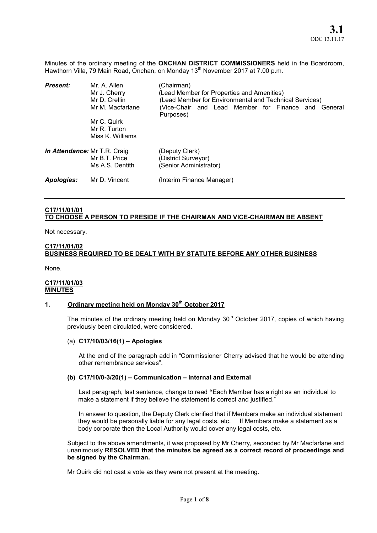Minutes of the ordinary meeting of the ONCHAN DISTRICT COMMISSIONERS held in the Boardroom, Hawthorn Villa, 79 Main Road, Onchan, on Monday 13<sup>th</sup> November 2017 at 7.00 p.m.

| <b>Present:</b>              | Mr. A. Allen<br>Mr J. Cherry<br>Mr D. Crellin<br>Mr M. Macfarlane | (Chairman)<br>(Lead Member for Properties and Amenities)<br>(Lead Member for Environmental and Technical Services)<br>(Vice-Chair and Lead Member for Finance and General<br>Purposes) |
|------------------------------|-------------------------------------------------------------------|----------------------------------------------------------------------------------------------------------------------------------------------------------------------------------------|
|                              | Mr C. Quirk<br>Mr R. Turton<br>Miss K. Williams                   |                                                                                                                                                                                        |
| In Attendance: Mr T.R. Craig | Mr B.T. Price<br>Ms A.S. Dentith                                  | (Deputy Clerk)<br>(District Surveyor)<br>(Senior Administrator)                                                                                                                        |
| Apologies:                   | Mr D. Vincent                                                     | (Interim Finance Manager)                                                                                                                                                              |

## C17/11/01/01 TO CHOOSE A PERSON TO PRESIDE IF THE CHAIRMAN AND VICE-CHAIRMAN BE ABSENT

Not necessary.

## C17/11/01/02

# BUSINESS REQUIRED TO BE DEALT WITH BY STATUTE BEFORE ANY OTHER BUSINESS

None.

#### C17/11/01/03 **MINUTES**

## 1. Ordinary meeting held on Monday 30<sup>th</sup> October 2017

The minutes of the ordinary meeting held on Monday  $30<sup>th</sup>$  October 2017, copies of which having previously been circulated, were considered.

#### (a) C17/10/03/16(1) – Apologies

At the end of the paragraph add in "Commissioner Cherry advised that he would be attending other remembrance services".

#### (b) C17/10/0-3/20(1) – Communication – Internal and External

Last paragraph, last sentence, change to read "Each Member has a right as an individual to make a statement if they believe the statement is correct and justified."

In answer to question, the Deputy Clerk clarified that if Members make an individual statement they would be personally liable for any legal costs, etc. If Members make a statement as a body corporate then the Local Authority would cover any legal costs, etc.

Subject to the above amendments, it was proposed by Mr Cherry, seconded by Mr Macfarlane and unanimously RESOLVED that the minutes be agreed as a correct record of proceedings and be signed by the Chairman.

Mr Quirk did not cast a vote as they were not present at the meeting.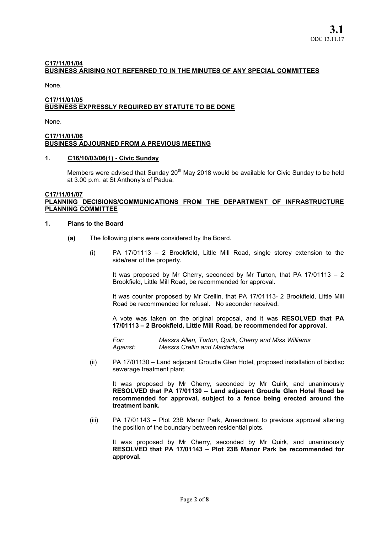## C17/11/01/04 BUSINESS ARISING NOT REFERRED TO IN THE MINUTES OF ANY SPECIAL COMMITTEES

None.

### C17/11/01/05 BUSINESS EXPRESSLY REQUIRED BY STATUTE TO BE DONE

None.

#### C17/11/01/06 BUSINESS ADJOURNED FROM A PREVIOUS MEETING

### 1. C16/10/03/06(1) - Civic Sunday

Members were advised that Sunday  $20<sup>th</sup>$  May 2018 would be available for Civic Sunday to be held at 3.00 p.m. at St Anthony's of Padua.

#### C17/11/01/07 PLANNING DECISIONS/COMMUNICATIONS FROM THE DEPARTMENT OF INFRASTRUCTURE PLANNING COMMITTEE

#### 1. Plans to the Board

- (a) The following plans were considered by the Board.
	- (i) PA 17/01113 2 Brookfield, Little Mill Road, single storey extension to the side/rear of the property.

It was proposed by Mr Cherry, seconded by Mr Turton, that PA  $17/01113 - 2$ Brookfield, Little Mill Road, be recommended for approval.

It was counter proposed by Mr Crellin, that PA 17/01113- 2 Brookfield, Little Mill Road be recommended for refusal. No seconder received.

A vote was taken on the original proposal, and it was RESOLVED that PA 17/01113 – 2 Brookfield, Little Mill Road, be recommended for approval.

*For: Messrs Allen, Turton, Quirk, Cherry and Miss Williams Against: Messrs Crellin and Macfarlane*

(ii) PA 17/01130 – Land adjacent Groudle Glen Hotel, proposed installation of biodisc sewerage treatment plant.

It was proposed by Mr Cherry, seconded by Mr Quirk, and unanimously RESOLVED that PA 17/01130 – Land adjacent Groudle Glen Hotel Road be recommended for approval, subject to a fence being erected around the treatment bank.

(iii) PA 17/01143 – Plot 23B Manor Park, Amendment to previous approval altering the position of the boundary between residential plots.

It was proposed by Mr Cherry, seconded by Mr Quirk, and unanimously RESOLVED that PA 17/01143 – Plot 23B Manor Park be recommended for approval.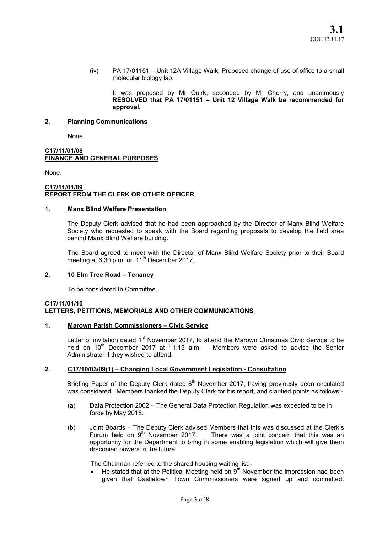(iv) PA 17/01151 – Unit 12A Village Walk, Proposed change of use of office to a small molecular biology lab.

It was proposed by Mr Quirk, seconded by Mr Cherry, and unanimously RESOLVED that PA 17/01151 – Unit 12 Village Walk be recommended for approval.

## 2. Planning Communications

None.

#### C17/11/01/08 FINANCE AND GENERAL PURPOSES

None.

### C17/11/01/09 REPORT FROM THE CLERK OR OTHER OFFICER

### 1. Manx Blind Welfare Presentation

The Deputy Clerk advised that he had been approached by the Director of Manx Blind Welfare Society who requested to speak with the Board regarding proposals to develop the field area behind Manx Blind Welfare building.

The Board agreed to meet with the Director of Manx Blind Welfare Society prior to their Board meeting at 6.30 p.m. on 11<sup>th</sup> December 2017.

## 2. 10 Elm Tree Road – Tenancy

To be considered In Committee.

#### C17/11/01/10 LETTERS, PETITIONS, MEMORIALS AND OTHER COMMUNICATIONS

## 1. Marown Parish Commissioners – Civic Service

Letter of invitation dated 1<sup>st</sup> November 2017, to attend the Marown Christmas Civic Service to be held on  $10^{th}$  December 2017 at 11.15 a.m. Members were asked to advise the Senior held on  $10^{th}$  December 2017 at 11.15 a.m. Administrator if they wished to attend.

## 2. C17/10/03/09(1) – Changing Local Government Legislation - Consultation

Briefing Paper of the Deputy Clerk dated  $8<sup>th</sup>$  November 2017, having previously been circulated was considered. Members thanked the Deputy Clerk for his report, and clarified points as follows:-

- (a) Data Protection 2002 The General Data Protection Regulation was expected to be in force by May 2018.
- (b) Joint Boards The Deputy Clerk advised Members that this was discussed at the Clerk's Forum held on  $9<sup>th</sup>$  November 2017. There was a joint concern that this was an There was a joint concern that this was an opportunity for the Department to bring in some enabling legislation which will give them draconian powers in the future.

The Chairman referred to the shared housing waiting list:-

 $\bullet$  He stated that at the Political Meeting held on  $9<sup>th</sup>$  November the impression had been given that Castletown Town Commissioners were signed up and committed.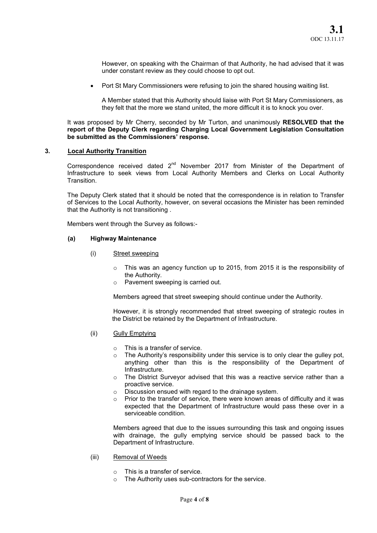However, on speaking with the Chairman of that Authority, he had advised that it was under constant review as they could choose to opt out.

Port St Mary Commissioners were refusing to join the shared housing waiting list.

A Member stated that this Authority should liaise with Port St Mary Commissioners, as they felt that the more we stand united, the more difficult it is to knock you over.

It was proposed by Mr Cherry, seconded by Mr Turton, and unanimously RESOLVED that the report of the Deputy Clerk regarding Charging Local Government Legislation Consultation be submitted as the Commissioners' response.

#### 3. Local Authority Transition

Correspondence received dated  $2^{nd}$  November 2017 from Minister of the Department of Infrastructure to seek views from Local Authority Members and Clerks on Local Authority **Transition** 

The Deputy Clerk stated that it should be noted that the correspondence is in relation to Transfer of Services to the Local Authority, however, on several occasions the Minister has been reminded that the Authority is not transitioning .

Members went through the Survey as follows:-

## (a) Highway Maintenance

- (i) Street sweeping
	- $\circ$  This was an agency function up to 2015, from 2015 it is the responsibility of the Authority.
	- o Pavement sweeping is carried out.

Members agreed that street sweeping should continue under the Authority.

However, it is strongly recommended that street sweeping of strategic routes in the District be retained by the Department of Infrastructure.

- (ii) Gully Emptying
	- o This is a transfer of service.
	- $\circ$  The Authority's responsibility under this service is to only clear the quiley pot, anything other than this is the responsibility of the Department of Infrastructure.
	- o The District Surveyor advised that this was a reactive service rather than a proactive service.
	- o Discussion ensued with regard to the drainage system.
	- $\circ$  Prior to the transfer of service, there were known areas of difficulty and it was expected that the Department of Infrastructure would pass these over in a serviceable condition.

Members agreed that due to the issues surrounding this task and ongoing issues with drainage, the gully emptying service should be passed back to the Department of Infrastructure.

- (iii) Removal of Weeds
	- o This is a transfer of service.
	- o The Authority uses sub-contractors for the service.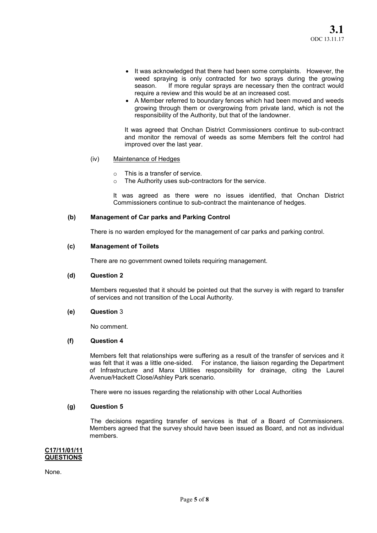- It was acknowledged that there had been some complaints. However, the weed spraying is only contracted for two sprays during the growing season. If more regular sprays are necessary then the contract would require a review and this would be at an increased cost.
- A Member referred to boundary fences which had been moved and weeds growing through them or overgrowing from private land, which is not the responsibility of the Authority, but that of the landowner.

It was agreed that Onchan District Commissioners continue to sub-contract and monitor the removal of weeds as some Members felt the control had improved over the last year.

### (iv) Maintenance of Hedges

- $\circ$  This is a transfer of service.
- o The Authority uses sub-contractors for the service.

It was agreed as there were no issues identified, that Onchan District Commissioners continue to sub-contract the maintenance of hedges.

### (b) Management of Car parks and Parking Control

There is no warden employed for the management of car parks and parking control.

#### (c) Management of Toilets

There are no government owned toilets requiring management.

#### (d) Question 2

Members requested that it should be pointed out that the survey is with regard to transfer of services and not transition of the Local Authority.

#### (e) Question 3

No comment.

#### (f) Question 4

Members felt that relationships were suffering as a result of the transfer of services and it was felt that it was a little one-sided. For instance, the liaison regarding the Department of Infrastructure and Manx Utilities responsibility for drainage, citing the Laurel Avenue/Hackett Close/Ashley Park scenario.

There were no issues regarding the relationship with other Local Authorities

#### (g) Question 5

The decisions regarding transfer of services is that of a Board of Commissioners. Members agreed that the survey should have been issued as Board, and not as individual members.

#### C17/11/01/11 **QUESTIONS**

None.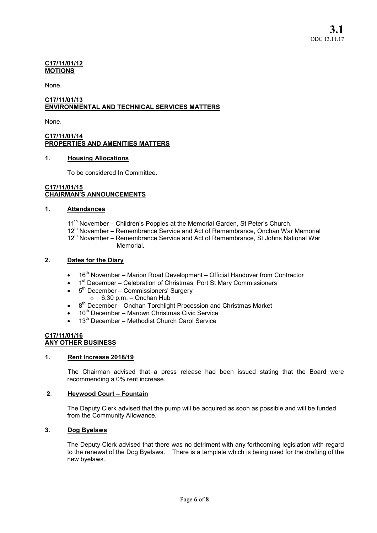### C17/11/01/12 MOTIONS

None.

### C17/11/01/13 ENVIRONMENTAL AND TECHNICAL SERVICES MATTERS

None.

## C17/11/01/14 PROPERTIES AND AMENITIES MATTERS

## 1. Housing Allocations

To be considered In Committee.

## C17/11/01/15 CHAIRMAN'S ANNOUNCEMENTS

## 1. Attendances

- 11<sup>th</sup> November Children's Poppies at the Memorial Garden, St Peter's Church.
- 12<sup>th</sup> November Remembrance Service and Act of Remembrance, Onchan War Memorial
- 12<sup>th</sup> November Remembrance Service and Act of Remembrance, St Johns National War Memorial.

## 2. Dates for the Diary

- 16<sup>th</sup> November Marion Road Development Official Handover from Contractor
- $\bullet$  1<sup>st</sup> December Celebration of Christmas, Port St Mary Commissioners
- $\bullet$  5<sup>th</sup> December Commissioners' Surgery
	- $\circ$  6.30 p.m. Onchan Hub
- $\bullet$  8<sup>th</sup> December Onchan Torchlight Procession and Christmas Market
- $\bullet$  10<sup>th</sup> December Marown Christmas Civic Service
- 13<sup>th</sup> December Methodist Church Carol Service

## C17/11/01/16 ANY OTHER BUSINESS

#### 1. Rent Increase 2018/19

The Chairman advised that a press release had been issued stating that the Board were recommending a 0% rent increase.

## 2. Heywood Court – Fountain

The Deputy Clerk advised that the pump will be acquired as soon as possible and will be funded from the Community Allowance.

## 3. Dog Byelaws

The Deputy Clerk advised that there was no detriment with any forthcoming legislation with regard to the renewal of the Dog Byelaws. There is a template which is being used for the drafting of the new byelaws.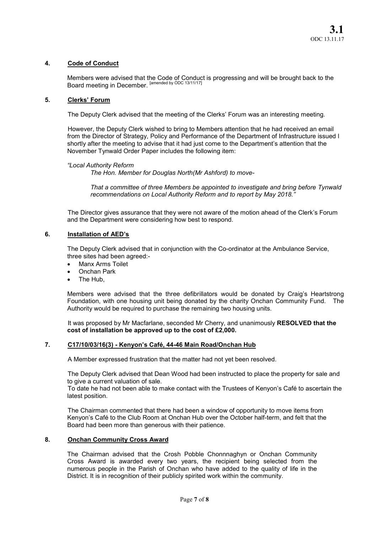## 4. Code of Conduct

Members were advised that the Code of Conduct is progressing and will be brought back to the Board meeting in December. [amended by ODC 13/11/17]

#### 5. Clerks' Forum

The Deputy Clerk advised that the meeting of the Clerks' Forum was an interesting meeting.

However, the Deputy Clerk wished to bring to Members attention that he had received an email from the Director of Strategy, Policy and Performance of the Department of Infrastructure issued l shortly after the meeting to advise that it had just come to the Department's attention that the November Tynwald Order Paper includes the following item:

#### *"Local Authority Reform*

*The Hon. Member for Douglas North(Mr Ashford) to move-*

*That a committee of three Members be appointed to investigate and bring before Tynwald recommendations on Local Authority Reform and to report by May 2018."*

The Director gives assurance that they were not aware of the motion ahead of the Clerk's Forum and the Department were considering how best to respond.

## 6. Installation of AED's

The Deputy Clerk advised that in conjunction with the Co-ordinator at the Ambulance Service, three sites had been agreed:-

- Manx Arms Toilet
- Onchan Park
- The Hub,

Members were advised that the three defibrillators would be donated by Craig's Heartstrong Foundation, with one housing unit being donated by the charity Onchan Community Fund. The Authority would be required to purchase the remaining two housing units.

It was proposed by Mr Macfarlane, seconded Mr Cherry, and unanimously RESOLVED that the cost of installation be approved up to the cost of £2,000.

## 7. C17/10/03/16(3) - Kenyon's Café, 44-46 Main Road/Onchan Hub

A Member expressed frustration that the matter had not yet been resolved.

The Deputy Clerk advised that Dean Wood had been instructed to place the property for sale and to give a current valuation of sale.

To date he had not been able to make contact with the Trustees of Kenyon's Café to ascertain the latest position.

The Chairman commented that there had been a window of opportunity to move items from Kenyon's Café to the Club Room at Onchan Hub over the October half-term, and felt that the Board had been more than generous with their patience.

## 8. Onchan Community Cross Award

The Chairman advised that the Crosh Pobble Chonnnaghyn or Onchan Community Cross Award is awarded every two years, the recipient being selected from the numerous people in the Parish of Onchan who have added to the quality of life in the District. It is in recognition of their publicly spirited work within the community.